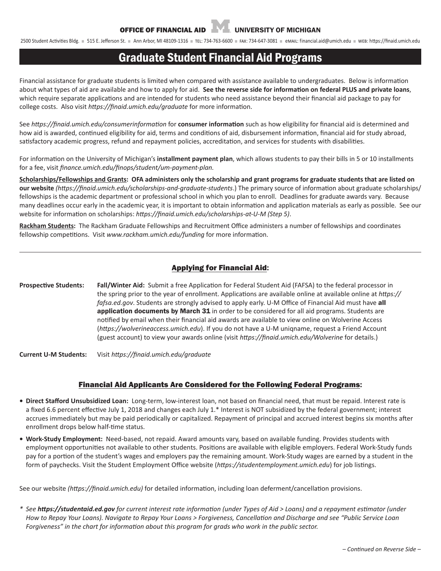2500 Student Activities Bldg. n 515 E. Jefferson St. n Ann Arbor, MI 48109-1316 n TEL: 734-763-6600 n FAX: 734-647-3081 n eMAIL: financial.aid@umich.edu n wEB: https://finaid.umich.edu

# Graduate Student Financial Aid Programs

Financial assistance for graduate students is limited when compared with assistance available to undergraduates. Below is information about what types of aid are available and how to apply for aid. **See the reverse side for information on federal PLUS and private loans**, which require separate applications and are intended for students who need assistance beyond their financial aid package to pay for college costs. Also visit *https://finaid.umich.edu/graduate* for more information.

See *https://finaid.umich.edu/consumerinformation* for **consumer information** such as how eligibility for financial aid is determined and how aid is awarded, continued eligibility for aid, terms and conditions of aid, disbursement information, financial aid for study abroad, satisfactory academic progress, refund and repayment policies, accreditation, and services for students with disabilities.

For information on the University of Michigan's **installment payment plan**, which allows students to pay their bills in 5 or 10 installments for a fee, visit *finance.umich.edu/finops/student/um-payment-plan.*

**Scholarships/Fellowships and Grants: OFA administers only the scholarship and grant programs for graduate students that are listed on our website** *(https://finaid.umich.edu/scholarships-and-graduate-students*.) The primary source of information about graduate scholarships/ fellowships is the academic department or professional school in which you plan to enroll. Deadlines for graduate awards vary. Because many deadlines occur early in the academic year, it is important to obtain information and application materials as early as possible. See our website for information on scholarships: *https://finaid.umich.edu/scholarships-at-U-M (Step 5)*.

**Rackham Students:** The Rackham Graduate Fellowships and Recruitment Office administers a number of fellowships and coordinates fellowship competitions. Visit *www.rackham.umich.edu/funding* for more information.

# Applying for Financial Aid:

**Prospective Students: Fall/Winter Aid:** Submit a free Application for Federal Student Aid (FAFSA) to the federal processor in the spring prior to the year of enrollment. Applications are available online at available online at *https:// fafsa.ed.gov*. Students are strongly advised to apply early. U-M Office of Financial Aid must have all **application documents by March 31** in order to be considered for all aid programs. Students are notified by email when their financial aid awards are available to view online on Wolverine Access (*https://wolverineaccess.umich.edu*). If you do not have a U-M uniqname, request a Friend Account (guest account) to view your awards online (visit *https://finaid.umich.edu/Wolverine* for details.)

**Current U-M Students:** Visit *https://finaid.umich.edu/graduate* 

## Financial Aid Applicants Are Considered for the Following Federal Programs:

- **• Direct Stafford Unsubsidized Loan:** Long-term, low-interest loan, not based on financial need, that must be repaid. Interest rate is a fixed 6.6 percent effective July 1, 2018 and changes each July 1.\* Interest is NOT subsidized by the federal government; interest accrues immediately but may be paid periodically or capitalized. Repayment of principal and accrued interest begins six months after enrollment drops below half-time status.
- **• Work-Study Employment:** Need-based, not repaid. Award amounts vary, based on available funding. Provides students with employment opportunities not available to other students. Positions are available with eligible employers. Federal Work-Study funds pay for a portion of the student's wages and employers pay the remaining amount. Work-Study wages are earned by a student in the form of paychecks. Visit the Student Employment Office website (*https://studentemployment.umich.edu*) for job listings.

See our website *(https://finaid.umich.edu)* for detailed information, including loan deferment/cancellation provisions.

*\* See https://studentaid.ed.gov for current interest rate information (under Types of Aid > Loans) and a repayment estimator (under How to Repay Your Loans). Navigate to Repay Your Loans > Forgiveness, Cancellation and Discharge and see "Public Service Loan Forgiveness" in the chart for information about this program for grads who work in the public sector.*